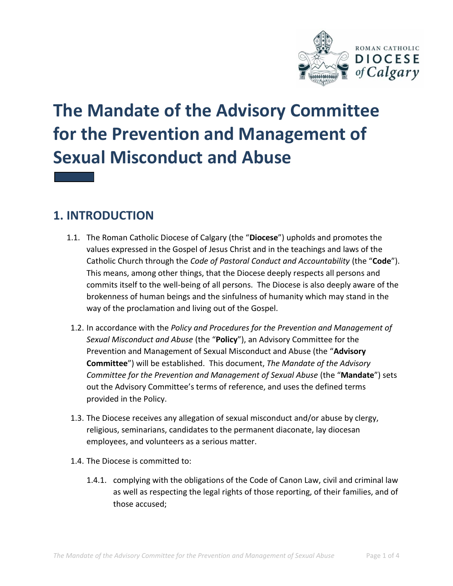

# **The Mandate of the Advisory Committee for the Prevention and Management of Sexual Misconduct and Abuse**

## **1. INTRODUCTION**

- 1.1. The Roman Catholic Diocese of Calgary (the "**Diocese**") upholds and promotes the values expressed in the Gospel of Jesus Christ and in the teachings and laws of the Catholic Church through the *Code of Pastoral Conduct and Accountability* (the "**Code**"). This means, among other things, that the Diocese deeply respects all persons and commits itself to the well-being of all persons. The Diocese is also deeply aware of the brokenness of human beings and the sinfulness of humanity which may stand in the way of the proclamation and living out of the Gospel.
- 1.2. In accordance with the *Policy and Procedures for the Prevention and Management of Sexual Misconduct and Abuse* (the "**Policy**"), an Advisory Committee for the Prevention and Management of Sexual Misconduct and Abuse (the "**Advisory Committee**") will be established. This document, *The Mandate of the Advisory Committee for the Prevention and Management of Sexual Abuse* (the "**Mandate**") sets out the Advisory Committee's terms of reference, and uses the defined terms provided in the Policy.
- 1.3. The Diocese receives any allegation of sexual misconduct and/or abuse by clergy, religious, seminarians, candidates to the permanent diaconate, lay diocesan employees, and volunteers as a serious matter.
- 1.4. The Diocese is committed to:
	- 1.4.1. complying with the obligations of the Code of Canon Law, civil and criminal law as well as respecting the legal rights of those reporting, of their families, and of those accused;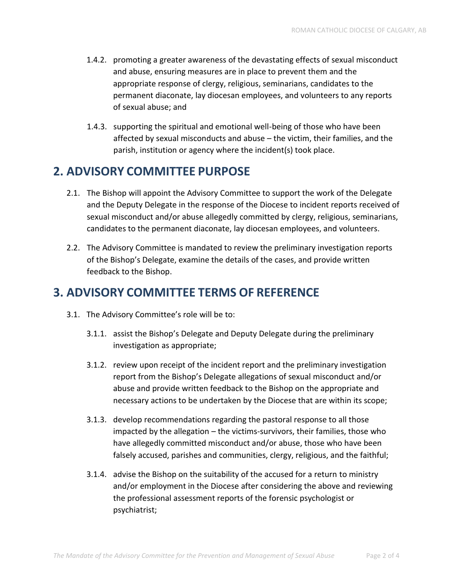- 1.4.2. promoting a greater awareness of the devastating effects of sexual misconduct and abuse, ensuring measures are in place to prevent them and the appropriate response of clergy, religious, seminarians, candidates to the permanent diaconate, lay diocesan employees, and volunteers to any reports of sexual abuse; and
- 1.4.3. supporting the spiritual and emotional well-being of those who have been affected by sexual misconducts and abuse – the victim, their families, and the parish, institution or agency where the incident(s) took place.

#### **2. ADVISORY COMMITTEE PURPOSE**

- 2.1. The Bishop will appoint the Advisory Committee to support the work of the Delegate and the Deputy Delegate in the response of the Diocese to incident reports received of sexual misconduct and/or abuse allegedly committed by clergy, religious, seminarians, candidates to the permanent diaconate, lay diocesan employees, and volunteers.
- 2.2. The Advisory Committee is mandated to review the preliminary investigation reports of the Bishop's Delegate, examine the details of the cases, and provide written feedback to the Bishop.

### **3. ADVISORY COMMITTEE TERMS OF REFERENCE**

- 3.1. The Advisory Committee's role will be to:
	- 3.1.1. assist the Bishop's Delegate and Deputy Delegate during the preliminary investigation as appropriate;
	- 3.1.2. review upon receipt of the incident report and the preliminary investigation report from the Bishop's Delegate allegations of sexual misconduct and/or abuse and provide written feedback to the Bishop on the appropriate and necessary actions to be undertaken by the Diocese that are within its scope;
	- 3.1.3. develop recommendations regarding the pastoral response to all those impacted by the allegation – the victims-survivors, their families, those who have allegedly committed misconduct and/or abuse, those who have been falsely accused, parishes and communities, clergy, religious, and the faithful;
	- 3.1.4. advise the Bishop on the suitability of the accused for a return to ministry and/or employment in the Diocese after considering the above and reviewing the professional assessment reports of the forensic psychologist or psychiatrist;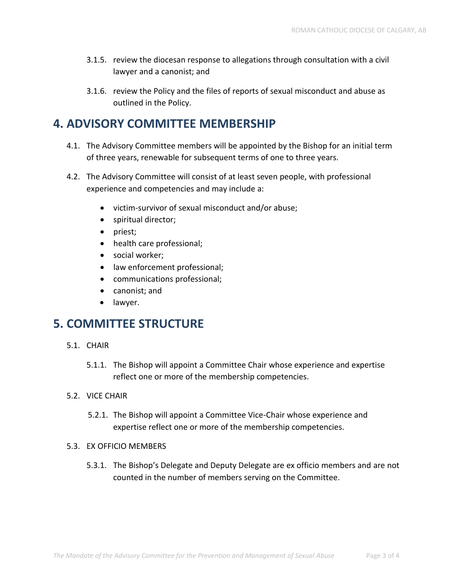- 3.1.5. review the diocesan response to allegations through consultation with a civil lawyer and a canonist; and
- 3.1.6. review the Policy and the files of reports of sexual misconduct and abuse as outlined in the Policy.

#### **4. ADVISORY COMMITTEE MEMBERSHIP**

- 4.1. The Advisory Committee members will be appointed by the Bishop for an initial term of three years, renewable for subsequent terms of one to three years.
- 4.2. The Advisory Committee will consist of at least seven people, with professional experience and competencies and may include a:
	- victim-survivor of sexual misconduct and/or abuse;
	- spiritual director;
	- priest;
	- health care professional;
	- social worker;
	- law enforcement professional;
	- communications professional;
	- canonist; and
	- lawyer.

#### **5. COMMITTEE STRUCTURE**

- 5.1. CHAIR
	- 5.1.1. The Bishop will appoint a Committee Chair whose experience and expertise reflect one or more of the membership competencies.
- 5.2. VICE CHAIR
	- 5.2.1. The Bishop will appoint a Committee Vice-Chair whose experience and expertise reflect one or more of the membership competencies.
- 5.3. EX OFFICIO MEMBERS
	- 5.3.1. The Bishop's Delegate and Deputy Delegate are ex officio members and are not counted in the number of members serving on the Committee.